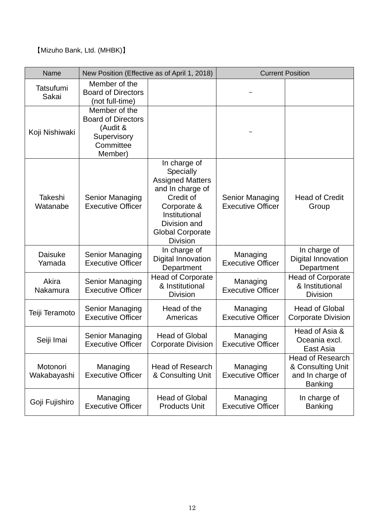【Mizuho Bank, Ltd. (MHBK)】

| Name                    | New Position (Effective as of April 1, 2018)                                                  |                                                                                                                                                                                     | <b>Current Position</b>                     |                                                                                    |
|-------------------------|-----------------------------------------------------------------------------------------------|-------------------------------------------------------------------------------------------------------------------------------------------------------------------------------------|---------------------------------------------|------------------------------------------------------------------------------------|
| Tatsufumi<br>Sakai      | Member of the<br><b>Board of Directors</b><br>(not full-time)                                 |                                                                                                                                                                                     |                                             |                                                                                    |
| Koji Nishiwaki          | Member of the<br><b>Board of Directors</b><br>(Audit &<br>Supervisory<br>Committee<br>Member) |                                                                                                                                                                                     |                                             |                                                                                    |
| Takeshi<br>Watanabe     | Senior Managing<br><b>Executive Officer</b>                                                   | In charge of<br>Specially<br><b>Assigned Matters</b><br>and In charge of<br>Credit of<br>Corporate &<br>Institutional<br>Division and<br><b>Global Corporate</b><br><b>Division</b> | Senior Managing<br><b>Executive Officer</b> | <b>Head of Credit</b><br>Group                                                     |
| Daisuke<br>Yamada       | Senior Managing<br><b>Executive Officer</b>                                                   | In charge of<br>Digital Innovation<br>Department                                                                                                                                    | Managing<br><b>Executive Officer</b>        | In charge of<br><b>Digital Innovation</b><br>Department                            |
| Akira<br>Nakamura       | Senior Managing<br><b>Executive Officer</b>                                                   | <b>Head of Corporate</b><br>& Institutional<br><b>Division</b>                                                                                                                      | Managing<br><b>Executive Officer</b>        | <b>Head of Corporate</b><br>& Institutional<br><b>Division</b>                     |
| Teiji Teramoto          | Senior Managing<br><b>Executive Officer</b>                                                   | Head of the<br>Americas                                                                                                                                                             | Managing<br><b>Executive Officer</b>        | <b>Head of Global</b><br><b>Corporate Division</b>                                 |
| Seiji Imai              | <b>Senior Managing</b><br><b>Executive Officer</b>                                            | <b>Head of Global</b><br><b>Corporate Division</b>                                                                                                                                  | Managing<br><b>Executive Officer</b>        | Head of Asia &<br>Oceania excl.<br>East Asia                                       |
| Motonori<br>Wakabayashi | Managing<br><b>Executive Officer</b>                                                          | <b>Head of Research</b><br>& Consulting Unit                                                                                                                                        | Managing<br><b>Executive Officer</b>        | <b>Head of Research</b><br>& Consulting Unit<br>and In charge of<br><b>Banking</b> |
| Goji Fujishiro          | Managing<br><b>Executive Officer</b>                                                          | <b>Head of Global</b><br><b>Products Unit</b>                                                                                                                                       | Managing<br><b>Executive Officer</b>        | In charge of<br><b>Banking</b>                                                     |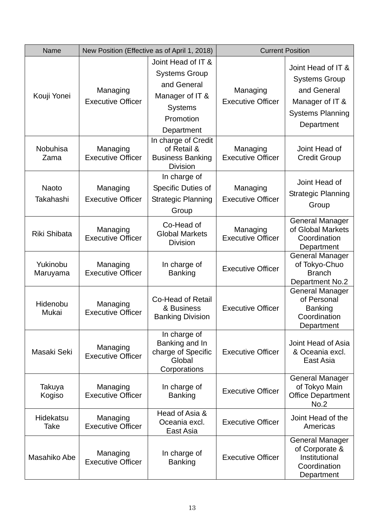| Name                      | New Position (Effective as of April 1, 2018) |                                                                                                                           | <b>Current Position</b>              |                                                                                                                       |
|---------------------------|----------------------------------------------|---------------------------------------------------------------------------------------------------------------------------|--------------------------------------|-----------------------------------------------------------------------------------------------------------------------|
| Kouji Yonei               | Managing<br><b>Executive Officer</b>         | Joint Head of IT &<br><b>Systems Group</b><br>and General<br>Manager of IT &<br><b>Systems</b><br>Promotion<br>Department | Managing<br><b>Executive Officer</b> | Joint Head of IT &<br><b>Systems Group</b><br>and General<br>Manager of IT &<br><b>Systems Planning</b><br>Department |
| Nobuhisa<br>Zama          | Managing<br><b>Executive Officer</b>         | In charge of Credit<br>of Retail &<br><b>Business Banking</b><br><b>Division</b>                                          | Managing<br><b>Executive Officer</b> | Joint Head of<br><b>Credit Group</b>                                                                                  |
| <b>Naoto</b><br>Takahashi | Managing<br><b>Executive Officer</b>         | In charge of<br>Specific Duties of<br><b>Strategic Planning</b><br>Group                                                  | Managing<br><b>Executive Officer</b> | Joint Head of<br><b>Strategic Planning</b><br>Group                                                                   |
| Riki Shibata              | Managing<br><b>Executive Officer</b>         | Co-Head of<br><b>Global Markets</b><br><b>Division</b>                                                                    | Managing<br><b>Executive Officer</b> | <b>General Manager</b><br>of Global Markets<br>Coordination<br>Department                                             |
| Yukinobu<br>Maruyama      | Managing<br><b>Executive Officer</b>         | In charge of<br><b>Banking</b>                                                                                            | <b>Executive Officer</b>             | <b>General Manager</b><br>of Tokyo-Chuo<br><b>Branch</b><br>Department No.2                                           |
| Hidenobu<br>Mukai         | Managing<br><b>Executive Officer</b>         | <b>Co-Head of Retail</b><br>& Business<br><b>Banking Division</b>                                                         | <b>Executive Officer</b>             | <b>General Manager</b><br>of Personal<br><b>Banking</b><br>Coordination<br>Department                                 |
| Masaki Seki               | Managing<br><b>Executive Officer</b>         | In charge of<br>Banking and In<br>charge of Specific<br>Global<br>Corporations                                            | <b>Executive Officer</b>             | Joint Head of Asia<br>& Oceania excl.<br>East Asia                                                                    |
| Takuya<br>Kogiso          | Managing<br><b>Executive Officer</b>         | In charge of<br><b>Banking</b>                                                                                            | <b>Executive Officer</b>             | <b>General Manager</b><br>of Tokyo Main<br><b>Office Department</b><br>No.2                                           |
| Hidekatsu<br>Take         | Managing<br><b>Executive Officer</b>         | Head of Asia &<br>Oceania excl.<br>East Asia                                                                              | <b>Executive Officer</b>             | Joint Head of the<br>Americas                                                                                         |
| Masahiko Abe              | Managing<br><b>Executive Officer</b>         | In charge of<br><b>Banking</b>                                                                                            | <b>Executive Officer</b>             | <b>General Manager</b><br>of Corporate &<br>Institutional<br>Coordination<br>Department                               |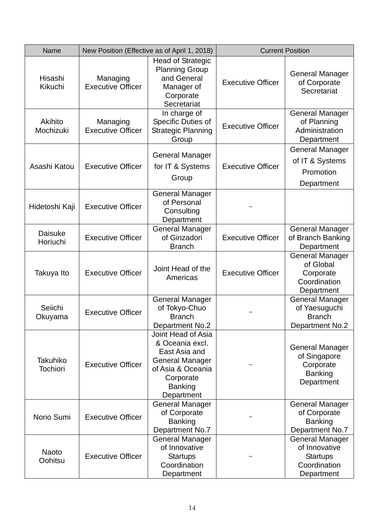| Name                               | New Position (Effective as of April 1, 2018) |                                                                                                                                                    | <b>Current Position</b>  |                                                                                          |
|------------------------------------|----------------------------------------------|----------------------------------------------------------------------------------------------------------------------------------------------------|--------------------------|------------------------------------------------------------------------------------------|
| Hisashi<br>Kikuchi                 | Managing<br><b>Executive Officer</b>         | <b>Head of Strategic</b><br><b>Planning Group</b><br>and General<br>Manager of<br>Corporate<br>Secretariat                                         | <b>Executive Officer</b> | <b>General Manager</b><br>of Corporate<br>Secretariat                                    |
| Akihito<br>Mochizuki               | Managing<br><b>Executive Officer</b>         | In charge of<br>Specific Duties of<br><b>Strategic Planning</b><br>Group                                                                           | <b>Executive Officer</b> | <b>General Manager</b><br>of Planning<br>Administration<br>Department                    |
| Asashi Katou                       | <b>Executive Officer</b>                     | <b>General Manager</b><br>for IT & Systems<br>Group                                                                                                | <b>Executive Officer</b> | <b>General Manager</b><br>of IT & Systems<br>Promotion<br>Department                     |
| Hidetoshi Kaji                     | <b>Executive Officer</b>                     | <b>General Manager</b><br>of Personal<br>Consulting<br>Department                                                                                  |                          |                                                                                          |
| Daisuke<br>Horiuchi                | <b>Executive Officer</b>                     | <b>General Manager</b><br>of Ginzadori<br><b>Branch</b>                                                                                            | <b>Executive Officer</b> | <b>General Manager</b><br>of Branch Banking<br>Department                                |
| Takuya Ito                         | <b>Executive Officer</b>                     | Joint Head of the<br>Americas                                                                                                                      | <b>Executive Officer</b> | <b>General Manager</b><br>of Global<br>Corporate<br>Coordination<br>Department           |
| Seiichi<br>Okuyama                 | <b>Executive Officer</b>                     | <b>General Manager</b><br>of Tokyo-Chuo<br><b>Branch</b><br><b>Department No.2</b>                                                                 |                          | <b>General Manager</b><br>of Yaesuguchi<br><b>Branch</b><br><b>Department No.2</b>       |
| <b>Takuhiko</b><br><b>Tochiori</b> | <b>Executive Officer</b>                     | Joint Head of Asia<br>& Oceania excl.<br>East Asia and<br><b>General Manager</b><br>of Asia & Oceania<br>Corporate<br><b>Banking</b><br>Department |                          | <b>General Manager</b><br>of Singapore<br>Corporate<br><b>Banking</b><br>Department      |
| Norio Sumi                         | <b>Executive Officer</b>                     | <b>General Manager</b><br>of Corporate<br><b>Banking</b><br>Department No.7                                                                        |                          | <b>General Manager</b><br>of Corporate<br><b>Banking</b><br>Department No.7              |
| <b>Naoto</b><br>Oohitsu            | <b>Executive Officer</b>                     | <b>General Manager</b><br>of Innovative<br><b>Startups</b><br>Coordination<br>Department                                                           |                          | <b>General Manager</b><br>of Innovative<br><b>Startups</b><br>Coordination<br>Department |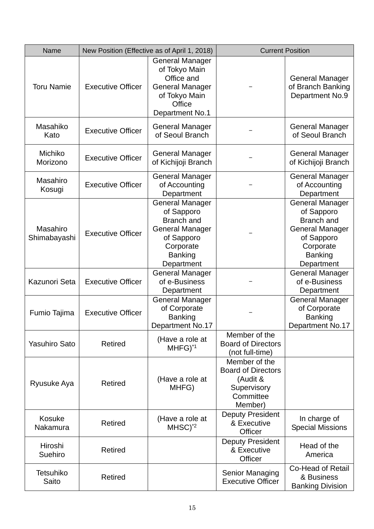| Name                      | New Position (Effective as of April 1, 2018) |                                                                                                                                                | <b>Current Position</b>                                                                       |                                                                                                                                                |
|---------------------------|----------------------------------------------|------------------------------------------------------------------------------------------------------------------------------------------------|-----------------------------------------------------------------------------------------------|------------------------------------------------------------------------------------------------------------------------------------------------|
| <b>Toru Namie</b>         | <b>Executive Officer</b>                     | <b>General Manager</b><br>of Tokyo Main<br>Office and<br><b>General Manager</b><br>of Tokyo Main<br>Office<br>Department No.1                  |                                                                                               | <b>General Manager</b><br>of Branch Banking<br>Department No.9                                                                                 |
| Masahiko<br>Kato          | <b>Executive Officer</b>                     | <b>General Manager</b><br>of Seoul Branch                                                                                                      |                                                                                               | <b>General Manager</b><br>of Seoul Branch                                                                                                      |
| Michiko<br>Morizono       | <b>Executive Officer</b>                     | <b>General Manager</b><br>of Kichijoji Branch                                                                                                  |                                                                                               | <b>General Manager</b><br>of Kichijoji Branch                                                                                                  |
| Masahiro<br>Kosugi        | <b>Executive Officer</b>                     | <b>General Manager</b><br>of Accounting<br>Department                                                                                          |                                                                                               | <b>General Manager</b><br>of Accounting<br>Department                                                                                          |
| Masahiro<br>Shimabayashi  | <b>Executive Officer</b>                     | <b>General Manager</b><br>of Sapporo<br><b>Branch</b> and<br><b>General Manager</b><br>of Sapporo<br>Corporate<br><b>Banking</b><br>Department |                                                                                               | <b>General Manager</b><br>of Sapporo<br><b>Branch</b> and<br><b>General Manager</b><br>of Sapporo<br>Corporate<br><b>Banking</b><br>Department |
| Kazunori Seta             | <b>Executive Officer</b>                     | <b>General Manager</b><br>of e-Business<br>Department                                                                                          |                                                                                               | <b>General Manager</b><br>of e-Business<br>Department                                                                                          |
| Fumio Tajima              | <b>Executive Officer</b>                     | <b>General Manager</b><br>of Corporate<br><b>Banking</b><br>Department No.17                                                                   |                                                                                               | <b>General Manager</b><br>of Corporate<br><b>Banking</b><br>Department No.17                                                                   |
| <b>Yasuhiro Sato</b>      | <b>Retired</b>                               | (Have a role at<br>$MHFG$ <sup>*1</sup>                                                                                                        | Member of the<br><b>Board of Directors</b><br>(not full-time)                                 |                                                                                                                                                |
| Ryusuke Aya               | <b>Retired</b>                               | (Have a role at<br>MHFG)                                                                                                                       | Member of the<br><b>Board of Directors</b><br>(Audit &<br>Supervisory<br>Committee<br>Member) |                                                                                                                                                |
| Kosuke<br>Nakamura        | <b>Retired</b>                               | (Have a role at<br>$MHSC)^*$ <sup>2</sup>                                                                                                      | <b>Deputy President</b><br>& Executive<br>Officer                                             | In charge of<br><b>Special Missions</b>                                                                                                        |
| Hiroshi<br>Suehiro        | Retired                                      |                                                                                                                                                | <b>Deputy President</b><br>& Executive<br>Officer                                             | Head of the<br>America                                                                                                                         |
| <b>Tetsuhiko</b><br>Saito | <b>Retired</b>                               |                                                                                                                                                | <b>Senior Managing</b><br><b>Executive Officer</b>                                            | <b>Co-Head of Retail</b><br>& Business<br><b>Banking Division</b>                                                                              |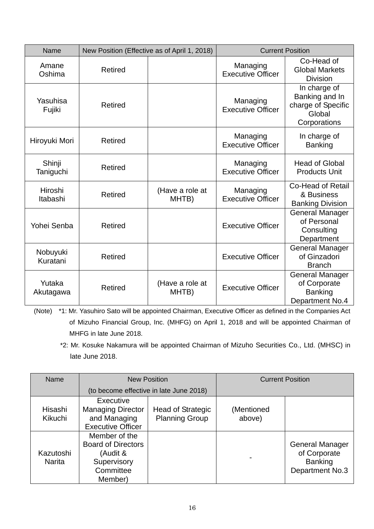| Name                 |                | New Position (Effective as of April 1, 2018) | <b>Current Position</b>              |                                                                                |
|----------------------|----------------|----------------------------------------------|--------------------------------------|--------------------------------------------------------------------------------|
| Amane<br>Oshima      | Retired        |                                              | Managing<br><b>Executive Officer</b> | Co-Head of<br><b>Global Markets</b><br><b>Division</b>                         |
| Yasuhisa<br>Fujiki   | Retired        |                                              | Managing<br><b>Executive Officer</b> | In charge of<br>Banking and In<br>charge of Specific<br>Global<br>Corporations |
| Hiroyuki Mori        | <b>Retired</b> |                                              | Managing<br><b>Executive Officer</b> | In charge of<br><b>Banking</b>                                                 |
| Shinji<br>Taniguchi  | Retired        |                                              | Managing<br><b>Executive Officer</b> | <b>Head of Global</b><br><b>Products Unit</b>                                  |
| Hiroshi<br>Itabashi  | <b>Retired</b> | (Have a role at<br>MHTB)                     | Managing<br><b>Executive Officer</b> | <b>Co-Head of Retail</b><br>& Business<br><b>Banking Division</b>              |
| Yohei Senba          | Retired        |                                              | <b>Executive Officer</b>             | <b>General Manager</b><br>of Personal<br>Consulting<br>Department              |
| Nobuyuki<br>Kuratani | Retired        |                                              | <b>Executive Officer</b>             | <b>General Manager</b><br>of Ginzadori<br><b>Branch</b>                        |
| Yutaka<br>Akutagawa  | <b>Retired</b> | (Have a role at<br>MHTB)                     | <b>Executive Officer</b>             | <b>General Manager</b><br>of Corporate<br><b>Banking</b><br>Department No.4    |

(Note) \*1: Mr. Yasuhiro Sato will be appointed Chairman, Executive Officer as defined in the Companies Act of Mizuho Financial Group, Inc. (MHFG) on April 1, 2018 and will be appointed Chairman of MHFG in late June 2018.

\*2: Mr. Kosuke Nakamura will be appointed Chairman of Mizuho Securities Co., Ltd. (MHSC) in late June 2018.

| Name                       | <b>New Position</b>                                                                           |                                                   |                      | <b>Current Position</b>                                                     |
|----------------------------|-----------------------------------------------------------------------------------------------|---------------------------------------------------|----------------------|-----------------------------------------------------------------------------|
|                            | (to become effective in late June 2018)                                                       |                                                   |                      |                                                                             |
| Hisashi<br>Kikuchi         | Executive<br><b>Managing Director</b><br>and Managing<br><b>Executive Officer</b>             | <b>Head of Strategic</b><br><b>Planning Group</b> | (Mentioned<br>above) |                                                                             |
| Kazutoshi<br><b>Narita</b> | Member of the<br><b>Board of Directors</b><br>(Audit &<br>Supervisory<br>Committee<br>Member) |                                                   |                      | <b>General Manager</b><br>of Corporate<br><b>Banking</b><br>Department No.3 |